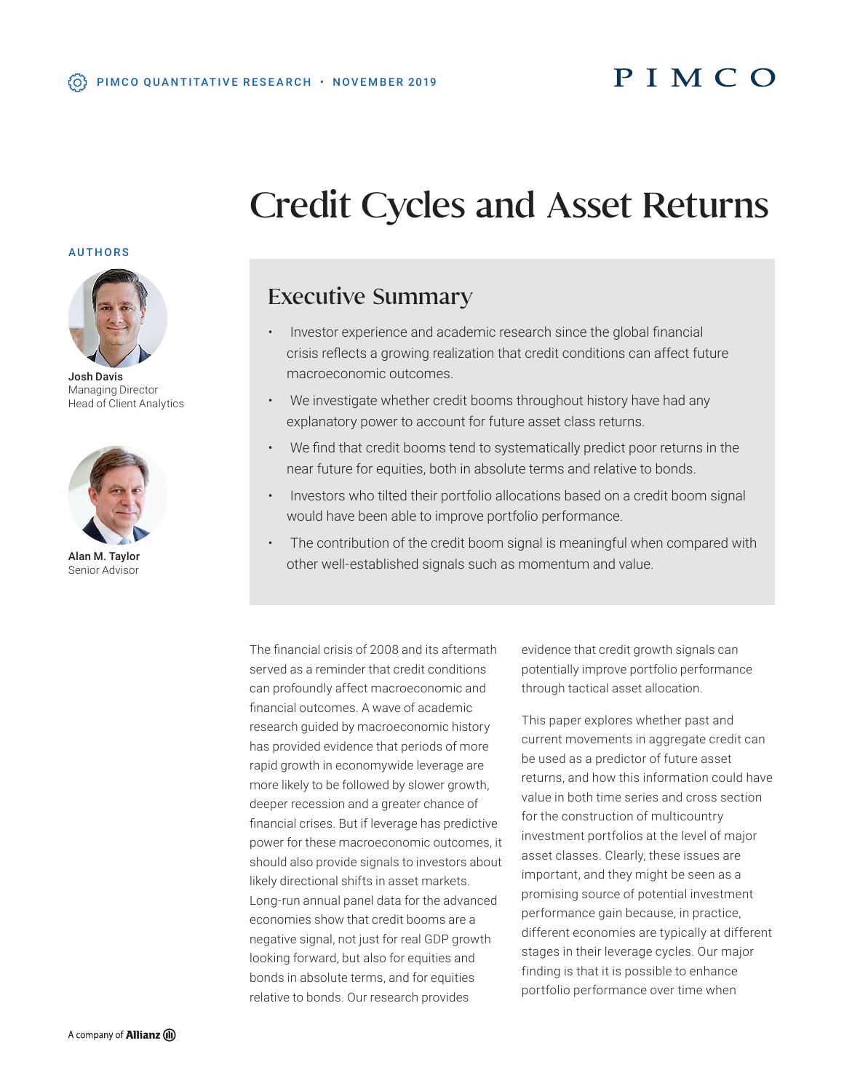# Credit Cycles and Asset Returns

# AUTHORS



Josh Davis Managing Director Head of Client Analytics



Alan M. Taylor Senior Advisor

# Executive Summary

- Investor experience and academic research since the global financial crisis reflects a growing realization that credit conditions can affect future macroeconomic outcomes.
- We investigate whether credit booms throughout history have had any explanatory power to account for future asset class returns.
- We find that credit booms tend to systematically predict poor returns in the near future for equities, both in absolute terms and relative to bonds.
- Investors who tilted their portfolio allocations based on a credit boom signal would have been able to improve portfolio performance.
- The contribution of the credit boom signal is meaningful when compared with other well-established signals such as momentum and value.

The financial crisis of 2008 and its aftermath served as a reminder that credit conditions can profoundly affect macroeconomic and financial outcomes. A wave of academic research guided by macroeconomic history has provided evidence that periods of more rapid growth in economywide leverage are more likely to be followed by slower growth, deeper recession and a greater chance of financial crises. But if leverage has predictive power for these macroeconomic outcomes, it should also provide signals to investors about likely directional shifts in asset markets. Long-run annual panel data for the advanced economies show that credit booms are a negative signal, not just for real GDP growth looking forward, but also for equities and bonds in absolute terms, and for equities relative to bonds. Our research provides

evidence that credit growth signals can potentially improve portfolio performance through tactical asset allocation.

This paper explores whether past and current movements in aggregate credit can be used as a predictor of future asset returns, and how this information could have value in both time series and cross section for the construction of multicountry investment portfolios at the level of major asset classes. Clearly, these issues are important, and they might be seen as a promising source of potential investment performance gain because, in practice, different economies are typically at different stages in their leverage cycles. Our major finding is that it is possible to enhance portfolio performance over time when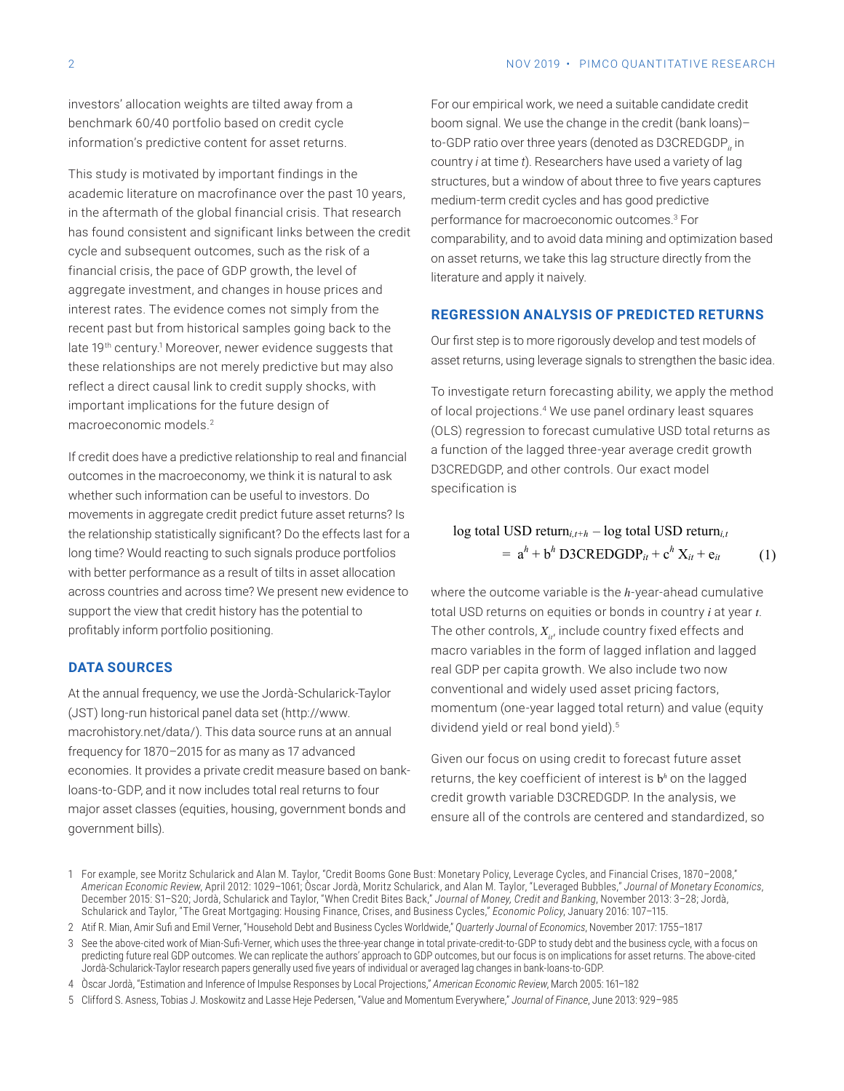investors' allocation weights are tilted away from a benchmark 60/40 portfolio based on credit cycle information's predictive content for asset returns.

This study is motivated by important findings in the academic literature on macrofinance over the past 10 years, in the aftermath of the global financial crisis. That research has found consistent and significant links between the credit cycle and subsequent outcomes, such as the risk of a financial crisis, the pace of GDP growth, the level of aggregate investment, and changes in house prices and interest rates. The evidence comes not simply from the recent past but from historical samples going back to the late 19<sup>th</sup> century.<sup>1</sup> Moreover, newer evidence suggests that these relationships are not merely predictive but may also reflect a direct causal link to credit supply shocks, with important implications for the future design of macroeconomic models.2

If credit does have a predictive relationship to real and financial outcomes in the macroeconomy, we think it is natural to ask whether such information can be useful to investors. Do movements in aggregate credit predict future asset returns? Is the relationship statistically significant? Do the effects last for a long time? Would reacting to such signals produce portfolios with better performance as a result of tilts in asset allocation across countries and across time? We present new evidence to support the view that credit history has the potential to profitably inform portfolio positioning.

## **DATA SOURCES**

At the annual frequency, we use the Jordà-Schularick-Taylor [\(JST\) long-run historical panel data set \(http://www.](http://www.macrohistory.net/data/) macrohistory.net/data/). This data source runs at an annual frequency for 1870–2015 for as many as 17 advanced economies. It provides a private credit measure based on bankloans-to-GDP, and it now includes total real returns to four major asset classes (equities, housing, government bonds and government bills).

For our empirical work, we need a suitable candidate credit boom signal. We use the change in the credit (bank loans)– to-GDP ratio over three years (denoted as D3CREDGDP, in country *i* at time *t*). Researchers have used a variety of lag structures, but a window of about three to five years captures medium-term credit cycles and has good predictive performance for macroeconomic outcomes.3 For comparability, and to avoid data mining and optimization based on asset returns, we take this lag structure directly from the literature and apply it naively.

#### **REGRESSION ANALYSIS OF PREDICTED RETURNS**

Our first step is to more rigorously develop and test models of asset returns, using leverage signals to strengthen the basic idea.

To investigate return forecasting ability, we apply the method of local projections.4 We use panel ordinary least squares (OLS) regression to forecast cumulative USD total returns as a function of the lagged three-year average credit growth D3CREDGDP, and other controls. Our exact model specification is

(1) log total USD return*i,t+h* – log total USD return*i,t*  $=$   $a^h$  +  $b^h$  D3CREDGDP<sub>it</sub> +  $c^h$  X<sub>it</sub> +  $e_{it}$ 

where the outcome variable is the *h*-year-ahead cumulative total USD returns on equities or bonds in country *i* at year *t*. The other controls,  $X_{i,j}$  include country fixed effects and macro variables in the form of lagged inflation and lagged real GDP per capita growth. We also include two now conventional and widely used asset pricing factors, momentum (one-year lagged total return) and value (equity dividend yield or real bond yield).<sup>5</sup>

Given our focus on using credit to forecast future asset returns, the key coefficient of interest is b*<sup>h</sup>* on the lagged credit growth variable D3CREDGDP. In the analysis, we ensure all of the controls are centered and standardized, so

- 4 Òscar Jordà, "Estimation and Inference of Impulse Responses by Local Projections," *American Economic Review*, March 2005: 161–182
- 5 Clifford S. Asness, Tobias J. Moskowitz and Lasse Heje Pedersen, "Value and Momentum Everywhere," *Journal of Finance*, June 2013: 929–985

<sup>1</sup> For example, see Moritz Schularick and Alan M. Taylor, "Credit Booms Gone Bust: Monetary Policy, Leverage Cycles, and Financial Crises, 1870–2008," *American Economic Review*, April 2012: 1029–1061; Òscar Jordà, Moritz Schularick, and Alan M. Taylor, "Leveraged Bubbles," *Journal of Monetary Economics*, December 2015: S1–S20; Jordà, Schularick and Taylor, "When Credit Bites Back," *Journal of Money, Credit and Banking*, November 2013: 3–28; Jordà, Schularick and Taylor, "The Great Mortgaging: Housing Finance, Crises, and Business Cycles," *Economic Policy*, January 2016: 107–115.

<sup>2</sup> Atif R. Mian, Amir Sufi and Emil Verner, "Household Debt and Business Cycles Worldwide," *Quarterly Journal of Economics*, November 2017: 1755–1817

<sup>3</sup> See the above-cited work of Mian-Sufi-Verner, which uses the three-year change in total private-credit-to-GDP to study debt and the business cycle, with a focus on predicting future real GDP outcomes. We can replicate the authors' approach to GDP outcomes, but our focus is on implications for asset returns. The above-cited Jordà-Schularick-Taylor research papers generally used five years of individual or averaged lag changes in bank-loans-to-GDP.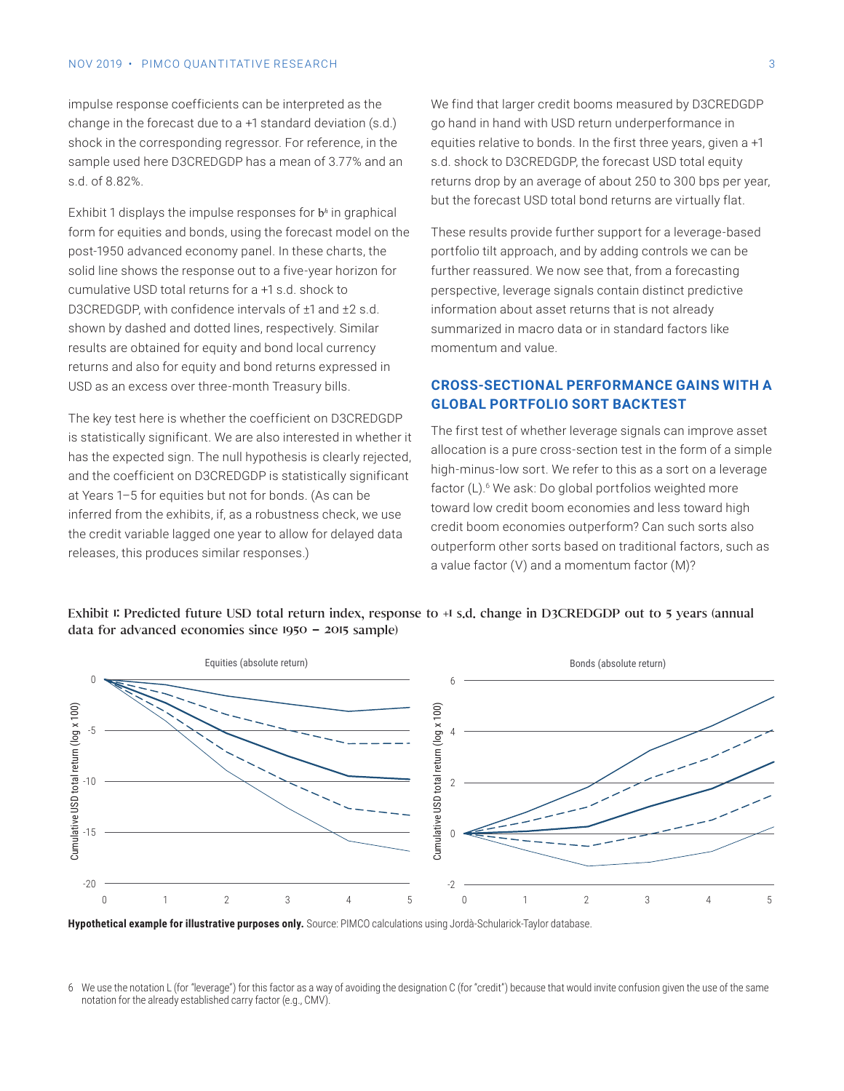#### NOV 2019 • PIMCO OUANTITATIVE RESEARCH 3

impulse response coefficients can be interpreted as the change in the forecast due to a +1 standard deviation (s.d.) shock in the corresponding regressor. For reference, in the sample used here D3CREDGDP has a mean of 3.77% and an s.d. of 8.82%.

Exhibit 1 displays the impulse responses for b<sup>h</sup> in graphical form for equities and bonds, using the forecast model on the post-1950 advanced economy panel. In these charts, the solid line shows the response out to a five-year horizon for cumulative USD total returns for a +1 s.d. shock to D3CREDGDP, with confidence intervals of ±1 and ±2 s.d. shown by dashed and dotted lines, respectively. Similar results are obtained for equity and bond local currency returns and also for equity and bond returns expressed in USD as an excess over three-month Treasury bills.

The key test here is whether the coefficient on D3CREDGDP is statistically significant. We are also interested in whether it has the expected sign. The null hypothesis is clearly rejected, and the coefficient on D3CREDGDP is statistically significant at Years 1–5 for equities but not for bonds. (As can be inferred from the exhibits, if, as a robustness check, we use the credit variable lagged one year to allow for delayed data releases, this produces similar responses.)

We find that larger credit booms measured by D3CREDGDP go hand in hand with USD return underperformance in equities relative to bonds. In the first three years, given a +1 s.d. shock to D3CREDGDP, the forecast USD total equity returns drop by an average of about 250 to 300 bps per year, but the forecast USD total bond returns are virtually flat.

These results provide further support for a leverage-based portfolio tilt approach, and by adding controls we can be further reassured. We now see that, from a forecasting perspective, leverage signals contain distinct predictive information about asset returns that is not already summarized in macro data or in standard factors like momentum and value.

# **CROSS-SECTIONAL PERFORMANCE GAINS WITH A GLOBAL PORTFOLIO SORT BACKTEST**

The first test of whether leverage signals can improve asset allocation is a pure cross-section test in the form of a simple high-minus-low sort. We refer to this as a sort on a leverage factor (L).<sup>6</sup> We ask: Do global portfolios weighted more toward low credit boom economies and less toward high credit boom economies outperform? Can such sorts also outperform other sorts based on traditional factors, such as a value factor (V) and a momentum factor (M)?

# Exhibit I: Predicted future USD total return index, response to +I s.d. change in D3CREDGDP out to 5 years (annual data for advanced economies since 1950 **–** 2015 sample)



**Hypothetical example for illustrative purposes only.** Source: PIMCO calculations using Jordà-Schularick-Taylor database.

<sup>6</sup> We use the notation L (for "leverage") for this factor as a way of avoiding the designation C (for "credit") because that would invite confusion given the use of the same notation for the already established carry factor (e.g., CMV).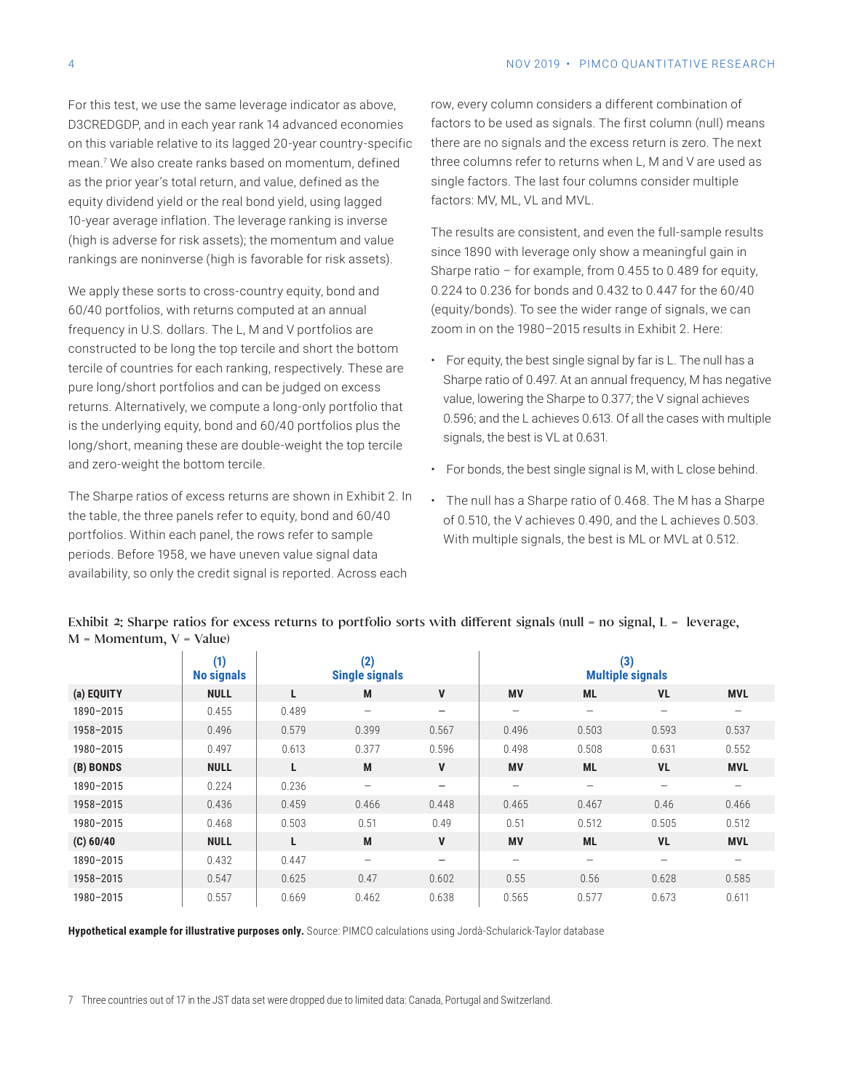For this test, we use the same leverage indicator as above, D3CREDGDP, and in each year rank 14 advanced economies on this variable relative to its lagged 20-year country-specific mean.7 We also create ranks based on momentum, defined as the prior year's total return, and value, defined as the equity dividend yield or the real bond yield, using lagged 10-year average inflation. The leverage ranking is inverse (high is adverse for risk assets); the momentum and value rankings are noninverse (high is favorable for risk assets).

We apply these sorts to cross-country equity, bond and 60/40 portfolios, with returns computed at an annual frequency in U.S. dollars. The L, M and V portfolios are constructed to be long the top tercile and short the bottom tercile of countries for each ranking, respectively. These are pure long/short portfolios and can be judged on excess returns. Alternatively, we compute a long-only portfolio that is the underlying equity, bond and 60/40 portfolios plus the long/short, meaning these are double-weight the top tercile and zero-weight the bottom tercile.

The Sharpe ratios of excess returns are shown in Exhibit 2. In the table, the three panels refer to equity, bond and 60/40 portfolios. Within each panel, the rows refer to sample periods. Before 1958, we have uneven value signal data availability, so only the credit signal is reported. Across each

row, every column considers a different combination of factors to be used as signals. The first column (null) means there are no signals and the excess return is zero. The next three columns refer to returns when L, M and V are used as single factors. The last four columns consider multiple factors: MV, ML, VL and MVL.

The results are consistent, and even the full-sample results since 1890 with leverage only show a meaningful gain in Sharpe ratio – for example, from 0.455 to 0.489 for equity, 0.224 to 0.236 for bonds and 0.432 to 0.447 for the 60/40 (equity/bonds). To see the wider range of signals, we can zoom in on the 1980–2015 results in Exhibit 2. Here:

- For equity, the best single signal by far is L. The null has a Sharpe ratio of 0.497. At an annual frequency, M has negative value, lowering the Sharpe to 0.377; the V signal achieves 0.596; and the L achieves 0.613. Of all the cases with multiple signals, the best is VL at 0.631.
- For bonds, the best single signal is M, with L close behind.
- The null has a Sharpe ratio of 0.468. The M has a Sharpe of 0.510, the V achieves 0.490, and the L achieves 0.503. With multiple signals, the best is ML or MVL at 0.512.

|            | (1)<br><b>No signals</b> | (2)<br><b>Single signals</b> |                          |                   | (3)<br><b>Multiple signals</b> |                          |                          |                   |
|------------|--------------------------|------------------------------|--------------------------|-------------------|--------------------------------|--------------------------|--------------------------|-------------------|
| (a) EQUITY | <b>NULL</b>              | L.                           | M                        | V                 | <b>MV</b>                      | <b>ML</b>                | <b>VL</b>                | <b>MVL</b>        |
| 1890-2015  | 0.455                    | 0.489                        | $\overline{\phantom{0}}$ | $\qquad \qquad -$ | $\qquad \qquad -$              | $\overline{\phantom{0}}$ | -                        | $\hspace{0.05cm}$ |
| 1958-2015  | 0.496                    | 0.579                        | 0.399                    | 0.567             | 0.496                          | 0.503                    | 0.593                    | 0.537             |
| 1980-2015  | 0.497                    | 0.613                        | 0.377                    | 0.596             | 0.498                          | 0.508                    | 0.631                    | 0.552             |
| (B) BONDS  | <b>NULL</b>              | L                            | M                        | V                 | <b>MV</b>                      | <b>ML</b>                | <b>VL</b>                | <b>MVL</b>        |
| 1890-2015  | 0.224                    | 0.236                        | $\qquad \qquad -$        | $\qquad \qquad -$ | $\qquad \qquad -$              | -                        | -                        |                   |
| 1958-2015  | 0.436                    | 0.459                        | 0.466                    | 0.448             | 0.465                          | 0.467                    | 0.46                     | 0.466             |
| 1980-2015  | 0.468                    | 0.503                        | 0.51                     | 0.49              | 0.51                           | 0.512                    | 0.505                    | 0.512             |
| (C) 60/40  | <b>NULL</b>              | L                            | M                        | V                 | <b>MV</b>                      | <b>ML</b>                | <b>VL</b>                | <b>MVL</b>        |
| 1890-2015  | 0.432                    | 0.447                        | -                        | $\qquad \qquad -$ | $\overline{\phantom{m}}$       | $\overline{\phantom{0}}$ | $\overline{\phantom{0}}$ |                   |
| 1958-2015  | 0.547                    | 0.625                        | 0.47                     | 0.602             | 0.55                           | 0.56                     | 0.628                    | 0.585             |
| 1980-2015  | 0.557                    | 0.669                        | 0.462                    | 0.638             | 0.565                          | 0.577                    | 0.673                    | 0.611             |

Exhibit 2: Sharpe ratios for excess returns to portfolio sorts with different signals (null = no signal, L = leverage,  $M = Momentum$ ,  $V = Value$ 

**Hypothetical example for illustrative purposes only.** Source: PIMCO calculations using Jordà-Schularick-Taylor database

7 Three countries out of 17 in the JST data set were dropped due to limited data: Canada, Portugal and Switzerland.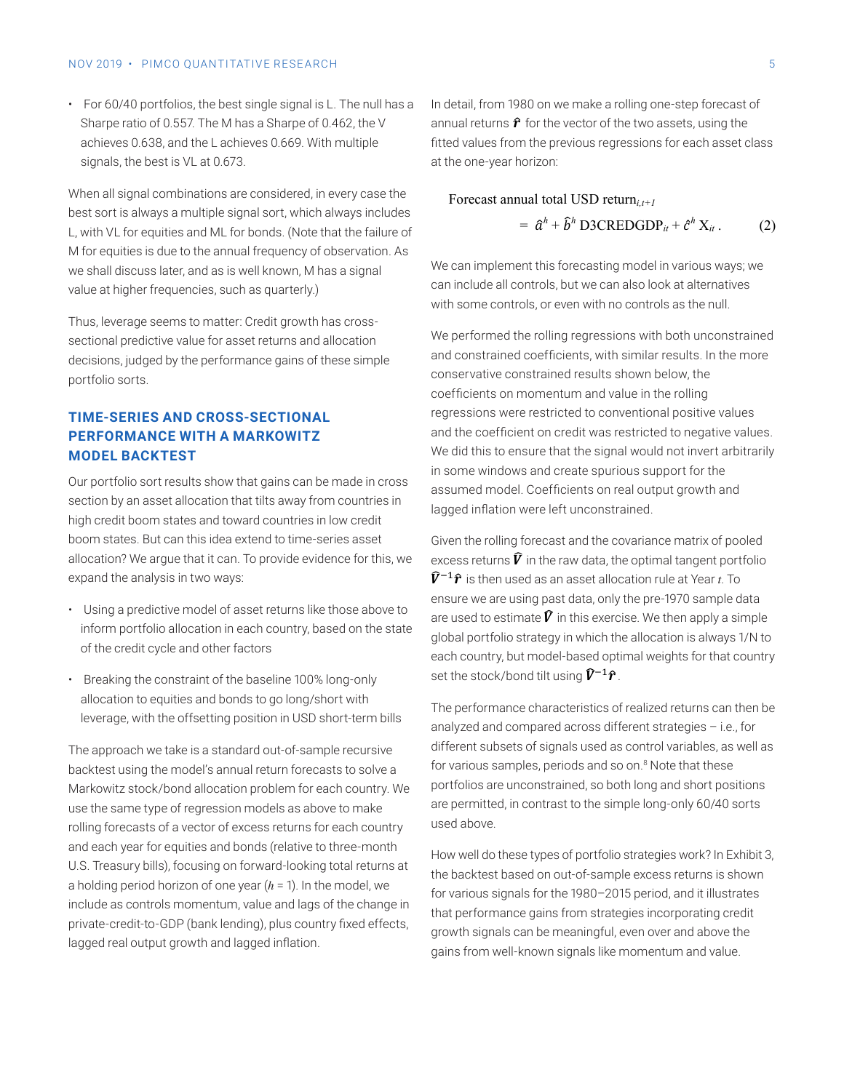#### <span id="page-4-0"></span>NOV 2019 • PIMCO OUANTITATIVE RESEARCH 5

• For 60/40 portfolios, the best single signal is L. The null has a Sharpe ratio of 0.557. The M has a Sharpe of 0.462, the V achieves 0.638, and the L achieves 0.669. With multiple signals, the best is VL at 0.673.

When all signal combinations are considered, in every case the best sort is always a multiple signal sort, which always includes L, with VL for equities and ML for bonds. (Note that the failure of M for equities is due to the annual frequency of observation. As we shall discuss later, and as is well known, M has a signal value at higher frequencies, such as quarterly.)

Thus, leverage seems to matter: Credit growth has crosssectional predictive value for asset returns and allocation decisions, judged by the performance gains of these simple portfolio sorts.

# **TIME-SERIES AND CROSS-SECTIONAL PERFORMANCE WITH A MARKOWITZ MODEL BACKTEST**

Our portfolio sort results show that gains can be made in cross section by an asset allocation that tilts away from countries in high credit boom states and toward countries in low credit boom states. But can this idea extend to time-series asset allocation? We argue that it can. To provide evidence for this, we expand the analysis in two ways:

- Using a predictive model of asset returns like those above to inform portfolio allocation in each country, based on the state of the credit cycle and other factors
- Breaking the constraint of the baseline 100% long-only allocation to equities and bonds to go long/short with leverage, with the offsetting position in USD short-term bills

The approach we take is a standard out-of-sample recursive backtest using the model's annual return forecasts to solve a Markowitz stock/bond allocation problem for each country. We use the same type of regression models as above to make rolling forecasts of a vector of excess returns for each country and each year for equities and bonds (relative to three-month U.S. Treasury bills), focusing on forward-looking total returns at a holding period horizon of one year (*h* = 1). In the model, we include as controls momentum, value and lags of the change in private-credit-to-GDP (bank lending), plus country fixed effects, lagged real output growth and lagged inflation.

In detail, from 1980 on we make a rolling one-step forecast of annual returns  $\hat{\mathbf{r}}$  for the vector of the two assets, using the fitted values from the previous regressions for each asset class at the one-year horizon:

Forecast annual total USD return<sub>i,t+1</sub>  
= 
$$
\hat{a}^h + \hat{b}^h
$$
 D3CREDGDP<sub>it</sub> +  $\hat{c}^h$  X<sub>it</sub>. (2)

We can implement this forecasting model in various ways; we can include all controls, but we can also look at alternatives with some controls, or even with no controls as the null.

We performed the rolling regressions with both unconstrained and constrained coefficients, with similar results. In the more conservative constrained results shown below, the coefficients on momentum and value in the rolling regressions were restricted to conventional positive values and the coefficient on credit was restricted to negative values. We did this to ensure that the signal would not invert arbitrarily in some windows and create spurious support for the assumed model. Coefficients on real output growth and lagged inflation were left unconstrained.

Given the rolling forecast and the covariance matrix of pooled excess returns  $\widehat{V}$  in the raw data, the optimal tangent portfolio  $\widehat{\mathbf{\mathcal{V}}}^{-1}\widehat{\mathbf{\mathcal{r}}}$  is then used as an asset allocation rule at Year  $\iota$ . To ensure we are using past data, only the pre-1970 sample data are used to estimate  $\widehat{V}$  in this exercise. We then apply a simple global portfolio strategy in which the allocation is always 1/N to each country, but model-based optimal weights for that country set the stock/bond tilt using  $\widehat{V}^{-1}\widehat{r}$ .

The performance characteristics of realized returns can then be analyzed and compared across different strategies – i.e., for different subsets of signals used as control variables, as well as for various samples, periods and so on.<sup>[8](#page-5-0)</sup> Note that these portfolios are unconstrained, so both long and short positions are permitted, in contrast to the simple long-only 60/40 sorts used above.

How well do these types of portfolio strategies work? In Exhibit 3, the backtest based on out-of-sample excess returns is shown for various signals for the 1980–2015 period, and it illustrates that performance gains from strategies incorporating credit growth signals can be meaningful, even over and above the gains from well-known signals like momentum and value.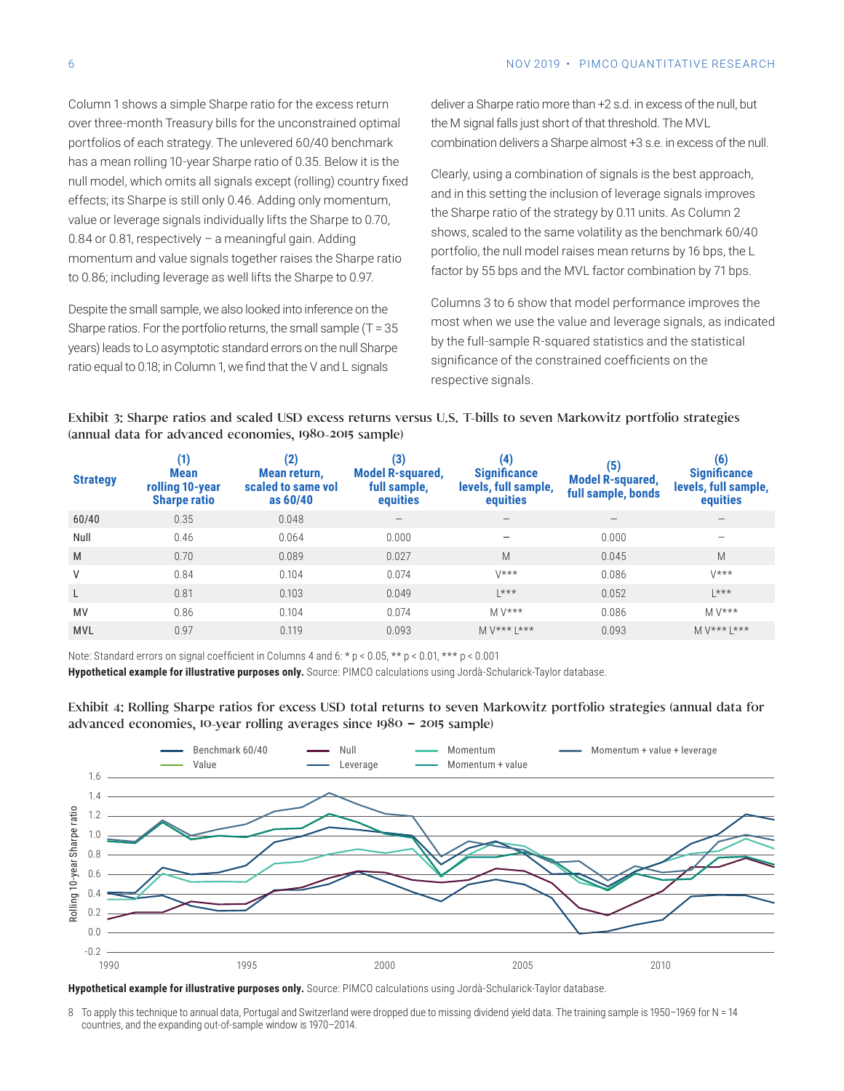<span id="page-5-0"></span>Column 1 shows a simple Sharpe ratio for the excess return over three-month Treasury bills for the unconstrained optimal portfolios of each strategy. The unlevered 60/40 benchmark has a mean rolling 10-year Sharpe ratio of 0.35. Below it is the null model, which omits all signals except (rolling) country fixed effects; its Sharpe is still only 0.46. Adding only momentum, value or leverage signals individually lifts the Sharpe to 0.70, 0.84 or 0.81, respectively – a meaningful gain. Adding momentum and value signals together raises the Sharpe ratio to 0.86; including leverage as well lifts the Sharpe to 0.97.

Despite the small sample, we also looked into inference on the Sharpe ratios. For the portfolio returns, the small sample (T = 35 years) leads to Lo asymptotic standard errors on the null Sharpe ratio equal to 0.18; in Column 1, we find that the V and L signals

deliver a Sharpe ratio more than +2 s.d. in excess of the null, but the M signal falls just short of that threshold. The MVL combination delivers a Sharpe almost +3 s.e. in excess of the null.

Clearly, using a combination of signals is the best approach, and in this setting the inclusion of leverage signals improves the Sharpe ratio of the strategy by 0.11 units. As Column 2 shows, scaled to the same volatility as the benchmark 60/40 portfolio, the null model raises mean returns by 16 bps, the L factor by 55 bps and the MVL factor combination by 71 bps.

Columns 3 to 6 show that model performance improves the most when we use the value and leverage signals, as indicated by the full-sample R-squared statistics and the statistical significance of the constrained coefficients on the respective signals.

|                                                        | Exhibit 3: Sharpe ratios and scaled USD excess returns versus U.S. T-bills to seven Markowitz portfolio strategies |
|--------------------------------------------------------|--------------------------------------------------------------------------------------------------------------------|
| (annual data for advanced economies, 1980-2015 sample) |                                                                                                                    |

| <b>Strategy</b> | (1)<br><b>Mean</b><br>rolling 10-year<br><b>Sharpe ratio</b> | (2)<br>Mean return,<br>scaled to same vol<br>as 60/40 | (3)<br><b>Model R-squared,</b><br>full sample,<br>equities | $\left(4\right)$<br><b>Significance</b><br>levels, full sample,<br>equities | (5)<br><b>Model R-squared,</b><br>full sample, bonds | (6)<br><b>Significance</b><br>levels, full sample,<br>equities |
|-----------------|--------------------------------------------------------------|-------------------------------------------------------|------------------------------------------------------------|-----------------------------------------------------------------------------|------------------------------------------------------|----------------------------------------------------------------|
| 60/40           | 0.35                                                         | 0.048                                                 | $\hspace{0.1mm}-\hspace{0.1mm}$                            | $\hspace{0.1mm}-\hspace{0.1mm}$                                             | $\qquad \qquad -$                                    | $\qquad \qquad -$                                              |
| Null            | 0.46                                                         | 0.064                                                 | 0.000                                                      | $\overline{\phantom{m}}$                                                    | 0.000                                                | $\qquad \qquad$                                                |
| M               | 0.70                                                         | 0.089                                                 | 0.027                                                      | M                                                                           | 0.045                                                | M                                                              |
| V               | 0.84                                                         | 0.104                                                 | 0.074                                                      | $V$ ***                                                                     | 0.086                                                | $\frac{1}{x^{*}}$                                              |
| L               | 0.81                                                         | 0.103                                                 | 0.049                                                      | $ ***$                                                                      | 0.052                                                | $ *** $                                                        |
| MV              | 0.86                                                         | 0.104                                                 | 0.074                                                      | $M V***$                                                                    | 0.086                                                | $M V***$                                                       |
| <b>MVL</b>      | 0.97                                                         | 0.119                                                 | 0.093                                                      | $M V***$   ***                                                              | 0.093                                                | $M V***$   ***                                                 |
|                 |                                                              |                                                       |                                                            |                                                                             |                                                      |                                                                |

Note: Standard errors on signal coefficient in Columns 4 and 6: \* p < 0.05, \*\* p < 0.01, \*\*\* p < 0.001

**Hypothetical example for illustrative purposes only.** Source: PIMCO calculations using Jordà-Schularick-Taylor database.



Exhibit 4: Rolling Sharpe ratios for excess USD total returns to seven Markowitz portfolio strategies (annual data for advanced economies, 10-year rolling averages since 1980 **–** 2015 sample)

**Hypothetical example for illustrative purposes only.** Source: PIMCO calculations using Jordà-Schularick-Taylor database.

[8](#page-4-0) To apply this technique to annual data, Portugal and Switzerland were dropped due to missing dividend yield data. The training sample is 1950-1969 for N = 14 countries, and the expanding out-of-sample window is 1970–2014.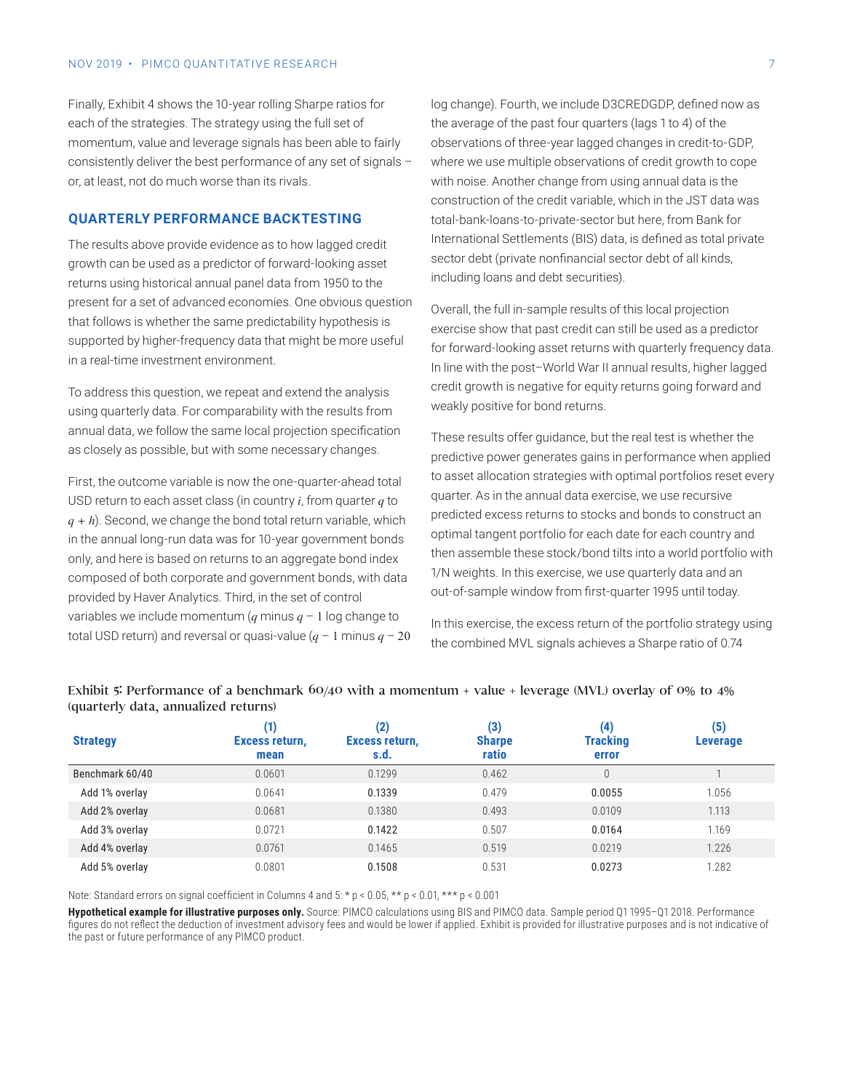Finally, Exhibit 4 shows the 10-year rolling Sharpe ratios for each of the strategies. The strategy using the full set of momentum, value and leverage signals has been able to fairly consistently deliver the best performance of any set of signals – or, at least, not do much worse than its rivals.

#### **QUARTERLY PERFORMANCE BACKTESTING**

The results above provide evidence as to how lagged credit growth can be used as a predictor of forward-looking asset returns using historical annual panel data from 1950 to the present for a set of advanced economies. One obvious question that follows is whether the same predictability hypothesis is supported by higher-frequency data that might be more useful in a real-time investment environment.

To address this question, we repeat and extend the analysis using quarterly data. For comparability with the results from annual data, we follow the same local projection specification as closely as possible, but with some necessary changes.

First, the outcome variable is now the one-quarter-ahead total USD return to each asset class (in country *i*, from quarter *q* to *q + h*). Second, we change the bond total return variable, which in the annual long-run data was for 10-year government bonds only, and here is based on returns to an aggregate bond index composed of both corporate and government bonds, with data provided by Haver Analytics. Third, in the set of control variables we include momentum  $(q \text{ minus } q - 1 \text{ log change to})$ total USD return) and reversal or quasi-value  $(q - 1)$  minus  $q - 20$  log change). Fourth, we include D3CREDGDP, defined now as the average of the past four quarters (lags 1 to 4) of the observations of three-year lagged changes in credit-to-GDP, where we use multiple observations of credit growth to cope with noise. Another change from using annual data is the construction of the credit variable, which in the JST data was total-bank-loans-to-private-sector but here, from Bank for International Settlements (BIS) data, is defined as total private sector debt (private nonfinancial sector debt of all kinds, including loans and debt securities).

Overall, the full in-sample results of this local projection exercise show that past credit can still be used as a predictor for forward-looking asset returns with quarterly frequency data. In line with the post–World War II annual results, higher lagged credit growth is negative for equity returns going forward and weakly positive for bond returns.

These results offer guidance, but the real test is whether the predictive power generates gains in performance when applied to asset allocation strategies with optimal portfolios reset every quarter. As in the annual data exercise, we use recursive predicted excess returns to stocks and bonds to construct an optimal tangent portfolio for each date for each country and then assemble these stock/bond tilts into a world portfolio with 1/N weights. In this exercise, we use quarterly data and an out-of-sample window from first-quarter 1995 until today.

In this exercise, the excess return of the portfolio strategy using the combined MVL signals achieves a Sharpe ratio of 0.74

| <b>Strategy</b> | Excess return,<br>mean | (2)<br>Excess return,<br>s.d. | (3)<br><b>Sharpe</b><br>ratio | (4)<br><b>Tracking</b><br>error | (5)<br>Leverage |
|-----------------|------------------------|-------------------------------|-------------------------------|---------------------------------|-----------------|
| Benchmark 60/40 | 0.0601                 | 0.1299                        | 0.462                         | $\Omega$                        |                 |
| Add 1% overlay  | 0.0641                 | 0.1339                        | 0.479                         | 0.0055                          | 1.056           |
| Add 2% overlay  | 0.0681                 | 0.1380                        | 0.493                         | 0.0109                          | 1.113           |
| Add 3% overlay  | 0.0721                 | 0.1422                        | 0.507                         | 0.0164                          | 1.169           |
| Add 4% overlay  | 0.0761                 | 0.1465                        | 0.519                         | 0.0219                          | 1.226           |
| Add 5% overlay  | 0.0801                 | 0.1508                        | 0.531                         | 0.0273                          | 1.282           |

#### Exhibit 5: Performance of a benchmark 60/40 with a momentum + value + leverage (MVL) overlay of 0% to 4% (quarterly data, annualized returns)

Note: Standard errors on signal coefficient in Columns 4 and 5: \* p < 0.05, \*\* p < 0.01, \*\*\* p < 0.001

**Hypothetical example for illustrative purposes only.** Source: PIMCO calculations using BIS and PIMCO data. Sample period Q1 1995–Q1 2018. Performance figures do not reflect the deduction of investment advisory fees and would be lower if applied. Exhibit is provided for illustrative purposes and is not indicative of the past or future performance of any PIMCO product.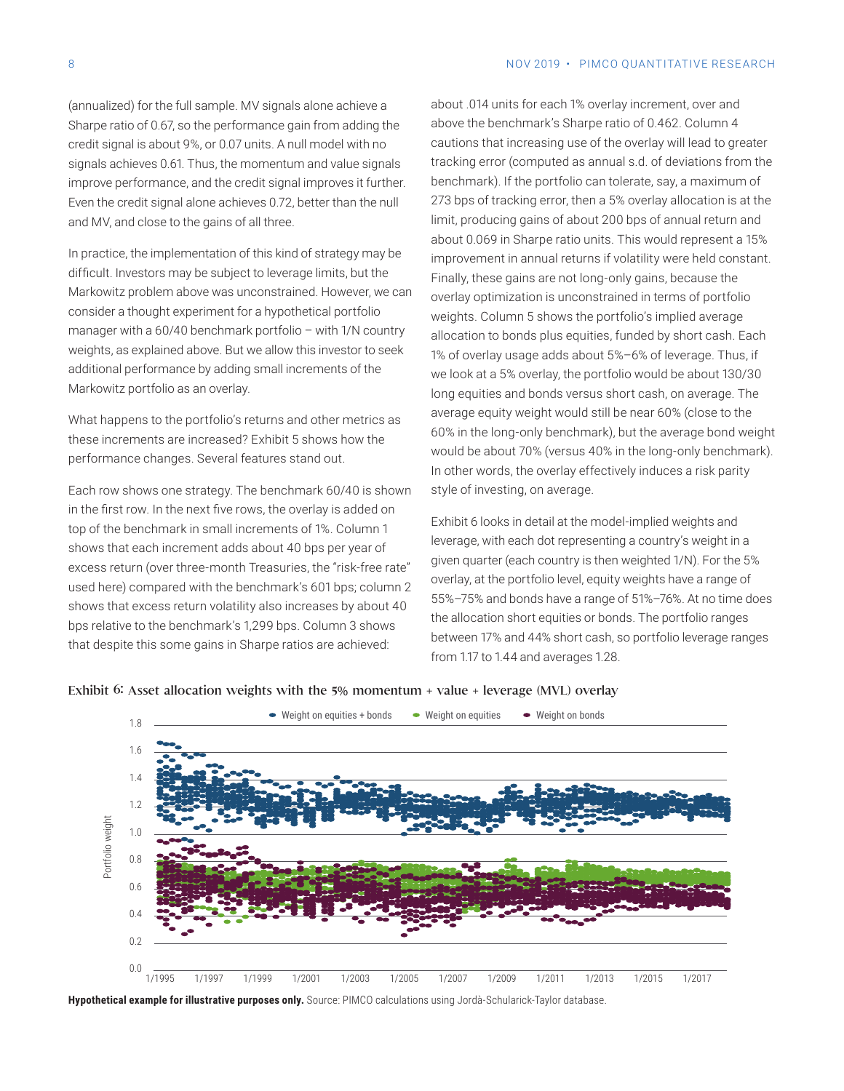(annualized) for the full sample. MV signals alone achieve a Sharpe ratio of 0.67, so the performance gain from adding the credit signal is about 9%, or 0.07 units. A null model with no signals achieves 0.61. Thus, the momentum and value signals improve performance, and the credit signal improves it further. Even the credit signal alone achieves 0.72, better than the null and MV, and close to the gains of all three.

In practice, the implementation of this kind of strategy may be difficult. Investors may be subject to leverage limits, but the Markowitz problem above was unconstrained. However, we can consider a thought experiment for a hypothetical portfolio manager with a 60/40 benchmark portfolio – with 1/N country weights, as explained above. But we allow this investor to seek additional performance by adding small increments of the Markowitz portfolio as an overlay.

What happens to the portfolio's returns and other metrics as these increments are increased? Exhibit 5 shows how the performance changes. Several features stand out.

Each row shows one strategy. The benchmark 60/40 is shown in the first row. In the next five rows, the overlay is added on top of the benchmark in small increments of 1%. Column 1 shows that each increment adds about 40 bps per year of excess return (over three-month Treasuries, the "risk-free rate" used here) compared with the benchmark's 601 bps; column 2 shows that excess return volatility also increases by about 40 bps relative to the benchmark's 1,299 bps. Column 3 shows that despite this some gains in Sharpe ratios are achieved:

about .014 units for each 1% overlay increment, over and above the benchmark's Sharpe ratio of 0.462. Column 4 cautions that increasing use of the overlay will lead to greater tracking error (computed as annual s.d. of deviations from the benchmark). If the portfolio can tolerate, say, a maximum of 273 bps of tracking error, then a 5% overlay allocation is at the limit, producing gains of about 200 bps of annual return and about 0.069 in Sharpe ratio units. This would represent a 15% improvement in annual returns if volatility were held constant. Finally, these gains are not long-only gains, because the overlay optimization is unconstrained in terms of portfolio weights. Column 5 shows the portfolio's implied average allocation to bonds plus equities, funded by short cash. Each 1% of overlay usage adds about 5%–6% of leverage. Thus, if we look at a 5% overlay, the portfolio would be about 130/30 long equities and bonds versus short cash, on average. The average equity weight would still be near 60% (close to the 60% in the long-only benchmark), but the average bond weight would be about 70% (versus 40% in the long-only benchmark). In other words, the overlay effectively induces a risk parity style of investing, on average.

Exhibit 6 looks in detail at the model-implied weights and leverage, with each dot representing a country's weight in a given quarter (each country is then weighted 1/N). For the 5% overlay, at the portfolio level, equity weights have a range of 55%–75% and bonds have a range of 51%–76%. At no time does the allocation short equities or bonds. The portfolio ranges between 17% and 44% short cash, so portfolio leverage ranges from 1.17 to 1.44 and averages 1.28.



#### Exhibit 6: Asset allocation weights with the 5% momentum + value + leverage (MVL) overlay

**Hypothetical example for illustrative purposes only.** Source: PIMCO calculations using Jordà-Schularick-Taylor database.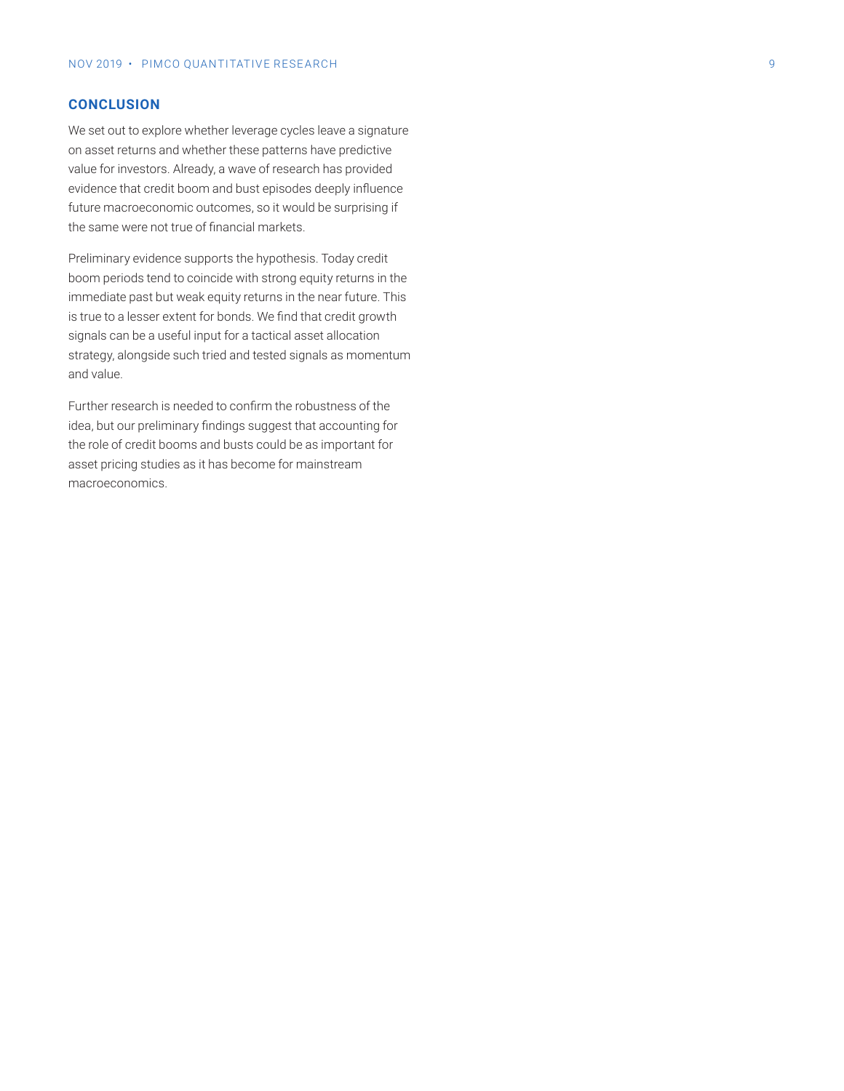## **CONCLUSION**

We set out to explore whether leverage cycles leave a signature on asset returns and whether these patterns have predictive value for investors. Already, a wave of research has provided evidence that credit boom and bust episodes deeply influence future macroeconomic outcomes, so it would be surprising if the same were not true of financial markets.

Preliminary evidence supports the hypothesis. Today credit boom periods tend to coincide with strong equity returns in the immediate past but weak equity returns in the near future. This is true to a lesser extent for bonds. We find that credit growth signals can be a useful input for a tactical asset allocation strategy, alongside such tried and tested signals as momentum and value.

Further research is needed to confirm the robustness of the idea, but our preliminary findings suggest that accounting for the role of credit booms and busts could be as important for asset pricing studies as it has become for mainstream macroeconomics.